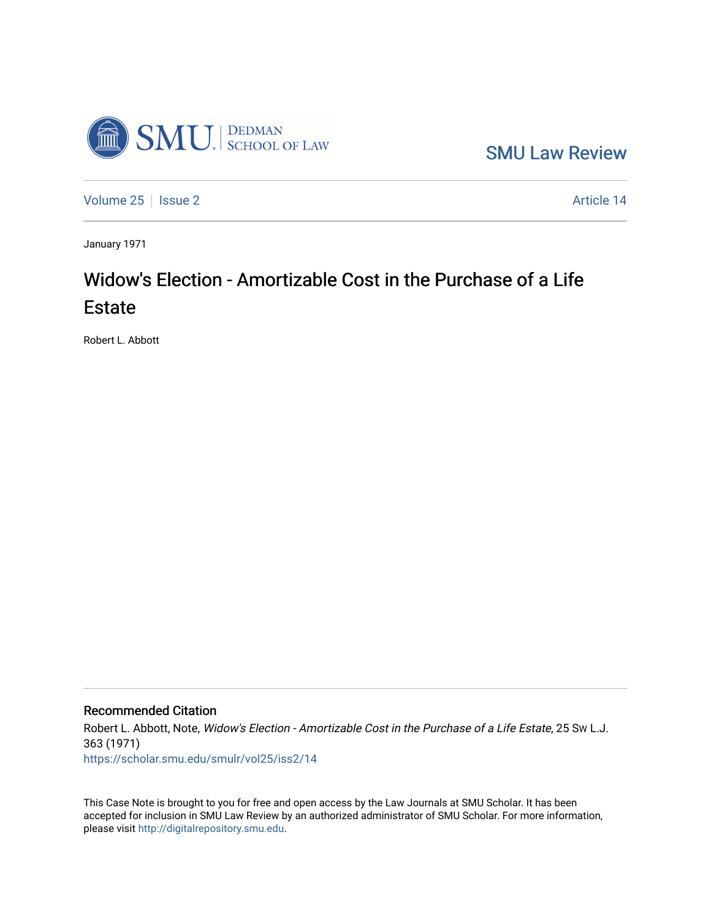

[SMU Law Review](https://scholar.smu.edu/smulr) 

[Volume 25](https://scholar.smu.edu/smulr/vol25) | [Issue 2](https://scholar.smu.edu/smulr/vol25/iss2) Article 14

January 1971

# Widow's Election - Amortizable Cost in the Purchase of a Life Estate

Robert L. Abbott

### Recommended Citation

Robert L. Abbott, Note, Widow's Election - Amortizable Cost in the Purchase of a Life Estate, 25 Sw L.J. 363 (1971) [https://scholar.smu.edu/smulr/vol25/iss2/14](https://scholar.smu.edu/smulr/vol25/iss2/14?utm_source=scholar.smu.edu%2Fsmulr%2Fvol25%2Fiss2%2F14&utm_medium=PDF&utm_campaign=PDFCoverPages)

This Case Note is brought to you for free and open access by the Law Journals at SMU Scholar. It has been accepted for inclusion in SMU Law Review by an authorized administrator of SMU Scholar. For more information, please visit [http://digitalrepository.smu.edu.](http://digitalrepository.smu.edu/)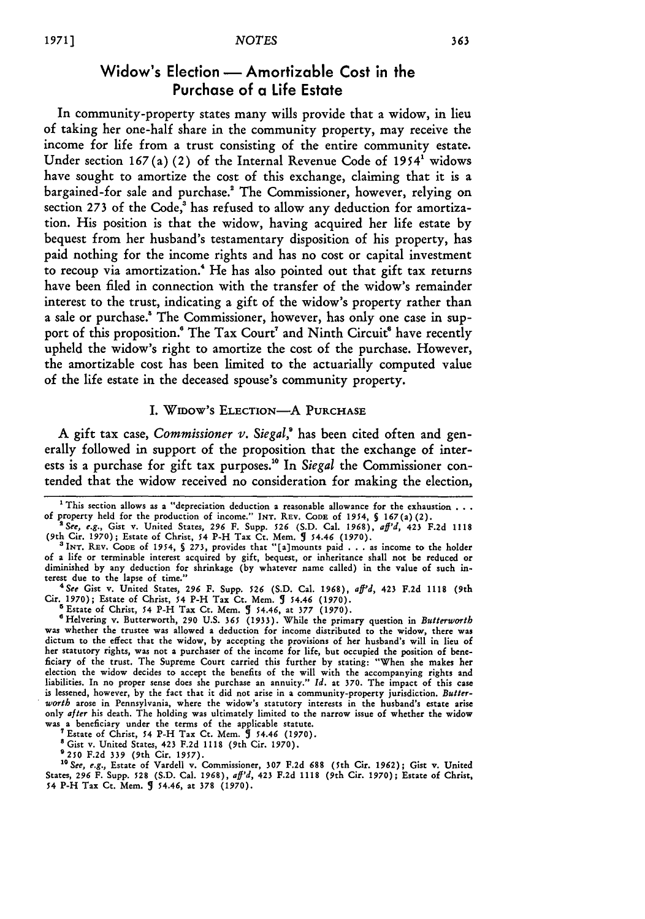## Widow's Election - Amortizable Cost in the Purchase of a Life Estate

In community-property states many wills provide that a widow, in lieu of taking her one-half share in the community property, may receive the income for life from a trust consisting of the entire community estate. Under section **167** (a) (2) of the Internal Revenue Code of **19541** widows have sought to amortize the cost of this exchange, claiming that it is a bargained-for sale and purchase.! The Commissioner, however, relying on section 273 of the Code,<sup>3</sup> has refused to allow any deduction for amortization. His position is that the widow, having acquired her life estate **by** bequest from her husband's testamentary disposition of his property, has paid nothing for the income rights and has no cost or capital investment to recoup via amortization.4 He has also pointed out that gift tax returns have been filed in connection with the transfer of the widow's remainder interest to the trust, indicating a gift of the widow's property rather than a sale or purchase.' The Commissioner, however, has only one case in support of this proposition.<sup>6</sup> The Tax Court<sup>7</sup> and Ninth Circuit<sup>8</sup> have recently upheld the widow's right to amortize the cost of the purchase. However, the amortizable cost has been limited to the actuarially computed value of the life estate in the deceased spouse's community property.

#### I. WIDOW'S ELECTION-A PURCHASE

**A** gift tax case, *Commissioner v. Siegal,'* has been cited often and generally followed in support of the proposition that the exchange of interests is a purchase for gift tax purposes.<sup>10</sup> In *Siegal* the Commissioner contended that the widow received no consideration for making the election,

*See* Gist v. United States, 296 F. Supp. **526** (S.D. Cal. 1968), *aff'd,* 423 F.2d **1118** (9th Cir. 1970); Estate of Christ, 54 P-H Tax Ct. Mem. **5** 54.46 (1970).

**'** Estate of Christ, *54* P-H Tax Ct. Mem. **5** 54.46, at 377 (1970).

0Helvering v. Butterworth, 290 U.S. *365* (1933). While the primary question in *Butterwort* was whether the trustee was allowed a deduction for income distributed to the widow, there was dictum to the effect that the widow, by accepting the provisions of her husband's will in lieu of her statutory rights, was not a purchaser of the income for life, but occupied the position of beneficiary of the trust. The Supreme Court carried this further by stating: "When she makes her election the widow decides to accept the benefits of the will with the accompanying rights and liabilities. In no proper sense does she purchase an annuity." *Id.* at 370. The impact of this case is lessened, however, by the fact that it did not arise in a community-property jurisdiction. *Butterworth* arose in Pennsylvania, where the widow's statutory interests in the husband's estate arise only *after* his death. The holding was ultimately limited to the narrow issue of whether the widow was a beneficiary under the terms of the applicable statute.

<sup>7</sup> Estate of Christ, 54 P-H Tax Ct. Mem.  $\hat{J}$  54.46 (1970)

**a** Gist v. United States, 423 F.2d **1118** (9th Cir. 1970).

9250 **F.2d** 339 (9th Cir. 1957).

<sup>10</sup> See, e.g., Estate of Vardell v. Commissioner, 307 F.2d 688 (5th Cir. 1962); Gist v. United<br>States, 296 F. Supp. 528 (S.D. Cal. 1968), af<sup>1,1</sup>d, 423 F.2d 1118 (9th Cir. 1970); Estate of Christ, 54 P-H Tax Ct. Mem. 5 54.46, **at 378** (1970).

**<sup>&#</sup>x27;** This section allows as a "depreciation deduction a reasonable allowance for the exhaustion **...** of property held for the production of income." INT. REV. **CODE** of 1954, *S* 167(a) (2).

<sup>&</sup>lt;sup>2</sup> See, e.g., Gist v. United States, 296 F. Supp. 526 (S.D. Cal. 1968),  $aff^3$ , 423 F.2d 1118<br>(9th Cir. 1970); Estate of Christ, 54 P-H Tax Ct. Mem. **9** 54.46 (1970).<br><sup>3</sup> INT. REV. CODE of 1954, § 273, provides that "[a]m

of a life or terminable interest acquired by gift, bequest, or inheritance shall not be reduced or diminished by any deduction for shrinkage (by whatever name called) in the value of such interest due to the lapse of time." *<sup>4</sup>*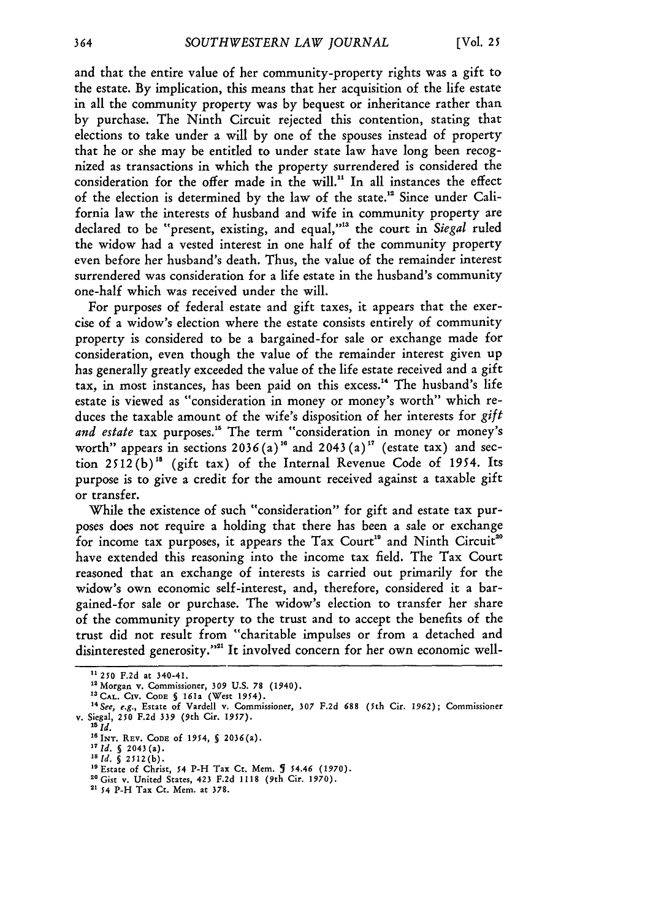and that the entire value of her community-property rights was a gift to the estate. By implication, this means that her acquisition of the life estate in all the community property was by bequest or inheritance rather than by purchase. The Ninth Circuit rejected this contention, stating that elections to take under a will by one of the spouses instead of property that he or she may be entitled to under state law have long been recognized as transactions in which the property surrendered is considered the consideration for the offer made in the will." In all instances the effect of the election is determined by the law of the state." Since under California law the interests of husband and wife in community property are declared to be "present, existing, and equal,"'" the court in *Siegal* ruled the widow had a vested interest in one half of the community property even before her husband's death. Thus, the value of the remainder interest surrendered was consideration for a life estate in the husband's community one-half which was received under the will.

For purposes of federal estate and gift taxes, it appears that the exercise of a widow's election where the estate consists entirely of community property is considered to be a bargained-for sale or exchange made for consideration, even though the value of the remainder interest given up has generally greatly exceeded the value of the life estate received and a gift tax, in most instances, has been paid on this excess." The husband's life estate is viewed as "consideration in money or money's worth" which reduces the taxable amount of the wife's disposition of her interests for *gift* and estate tax purposes.<sup>15</sup> The term "consideration in money or money's worth" appears in sections  $2036(a)^{16}$  and  $2043(a)^{17}$  (estate tax) and section  $2512(b)^{18}$  (gift tax) of the Internal Revenue Code of 1954. Its purpose is to give a credit for the amount received against a taxable gift or transfer.

While the existence of such "consideration" for gift and estate tax purposes does not require a holding that there has been a sale or exchange for income tax purposes, it appears the Tax Court<sup>19</sup> and Ninth Circuit<sup>20</sup> have extended this reasoning into the income tax field. The Tax Court reasoned that an exchange of interests is carried out primarily for the widow's own economic self-interest, and, therefore, considered it a bargained-for sale or purchase. The widow's election to transfer her share of the community property to the trust and to accept the benefits of the trust did not result from "charitable impulses or from a detached and disinterested generosity."'" It involved concern for her own economic well-

<sup>&</sup>lt;sup>11</sup> 250 F.2d at 340-41.<br><sup>12</sup> Morgan v. Commissioner, 309 U.S. 78 (1940).

<sup>&</sup>quot;Morgan v. Commissioner, **309** U.S. 78 (1940). **13CAL. CIv. CODE §** 161a (West 1954). *<sup>4</sup> See, e.g.,* Estate of Vardell v. Commissioner, **307 F.2d** 688 (5th Cir. **1962);** Commissioner v. Siegal, **250 F.2d 339** (9th Cir. **1957).** *is id.*

<sup>&#</sup>x27;6INT. REV. **CODE Of** *1954,* **S** 2036(a).

*<sup>17</sup> Id.* **§** 2043 (a).

*<sup>&#</sup>x27;8Id. §* **2512(b).**

<sup>&</sup>lt;sup>19</sup> Estate of Christ, 54 P-H Tax Ct. Mem. **J** 54.46 (1970).

**<sup>&</sup>quot;** Gist v. United States, 423 F.2d 1118 (9th Cir. 1970). **1 54** P-H Tax Ct. Mem. at 378.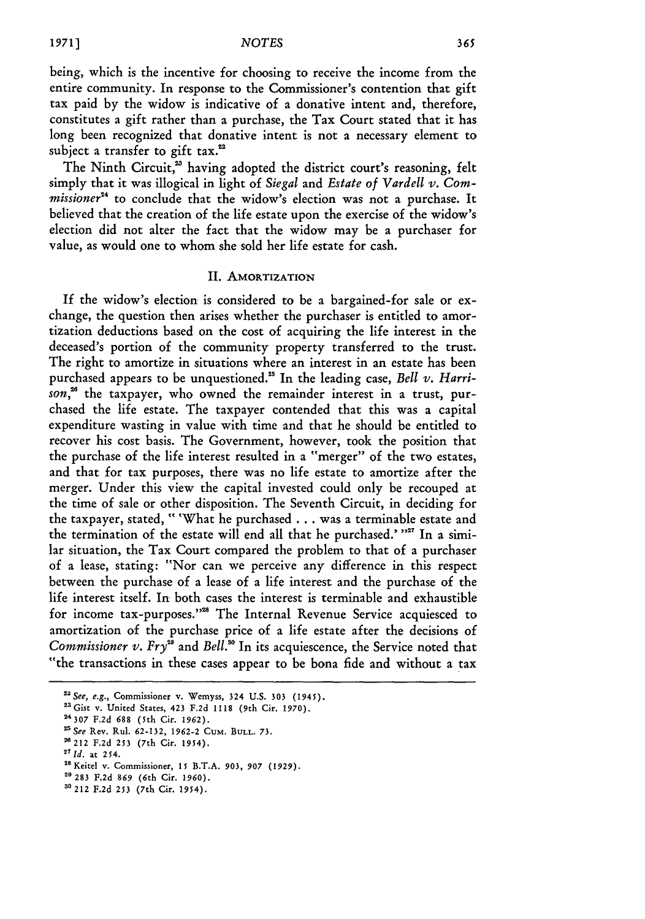#### *1971] NOTES*

being, which is the incentive for choosing to receive the income from the entire community. In response to the Commissioner's contention that gift tax paid by the widow is indicative of a donative intent and, therefore, constitutes a gift rather than a purchase, the Tax Court stated that it has long been recognized that donative intent is not a necessary element to subject a transfer to gift tax.<sup>22</sup>

The Ninth Circuit,<sup>23</sup> having adopted the district court's reasoning, felt simply that it was illogical in light of *Siegal* and *Estate of Vardell v. Commissioner*<sup>24</sup> to conclude that the widow's election was not a purchase. It believed that the creation of the life estate upon the exercise of the widow's election did not alter the fact that the widow may be a purchaser for value, as would one to whom she sold her life estate for cash.

#### II. AMORTIZATION

If the widow's election is considered to be a bargained-for sale or exchange, the question then arises whether the purchaser is entitled to amortization deductions based on the cost of acquiring the life interest in the deceased's portion of the community property transferred to the trust. The right to amortize in situations where an interest in an estate has been purchased appears to be unquestioned." In the leading case, *Bell* v. *Harri*son,<sup>26</sup> the taxpayer, who owned the remainder interest in a trust, purchased the life estate. The taxpayer contended that this was a capital expenditure wasting in value with time and that he should be entitled to recover his cost basis. The Government, however, took the position that the purchase of the life interest resulted in a "merger" of the two estates, and that for tax purposes, there was no life estate to amortize after the merger. Under this view the capital invested could only be recouped at the time of sale or other disposition. The Seventh Circuit, in deciding for the taxpayer, stated, **"** 'What he purchased **...** was a terminable estate and the termination of the estate will end all that he purchased.' "<sup>27</sup> In a similar situation, the Tax Court compared the problem to that of a purchaser of a lease, stating: "Nor can we perceive any difference in this respect between the purchase of a lease of a life interest and the purchase of the life interest itself. In both cases the interest is terminable and exhaustible for income tax-purposes."<sup>28</sup> The Internal Revenue Service acquiesced to amortization of the purchase price of a life estate after the decisions of *Commissioner v. Fry<sup>29</sup>* and *Bell*.<sup>30</sup> In its acquiescence, the Service noted that "the transactions in these cases appear to be bona fide and without a tax

**"9** 283 F.2d **869** (6th Cir. **1960).**

<sup>&</sup>lt;sup>22</sup> See, e.g., Commissioner v. Wemyss, 324 U.S. 303 (1945).

<sup>&</sup>lt;sup>23</sup> Gist v. United States, 423 F.2d 1118 (9th Cir. 1970).

**<sup>24307</sup> F.2d 688** (5th Cir. **1962).**

*<sup>&</sup>quot;See* Rev. Rul. 62-132, 1962-2 CUM. **BULL.** 73.

<sup>&</sup>lt;sup>26</sup> 212 F.2d 253 (7th Cir. 1954).

<sup>&</sup>lt;sup>27</sup> *Id.* at 254.

<sup>&</sup>lt;sup>28</sup> Keitel v. Commissioner, 15 B.T.A. 903, 907 (1929).

**<sup>3&#</sup>x27;** 212 F.2d **253** (7th Cir. 1954).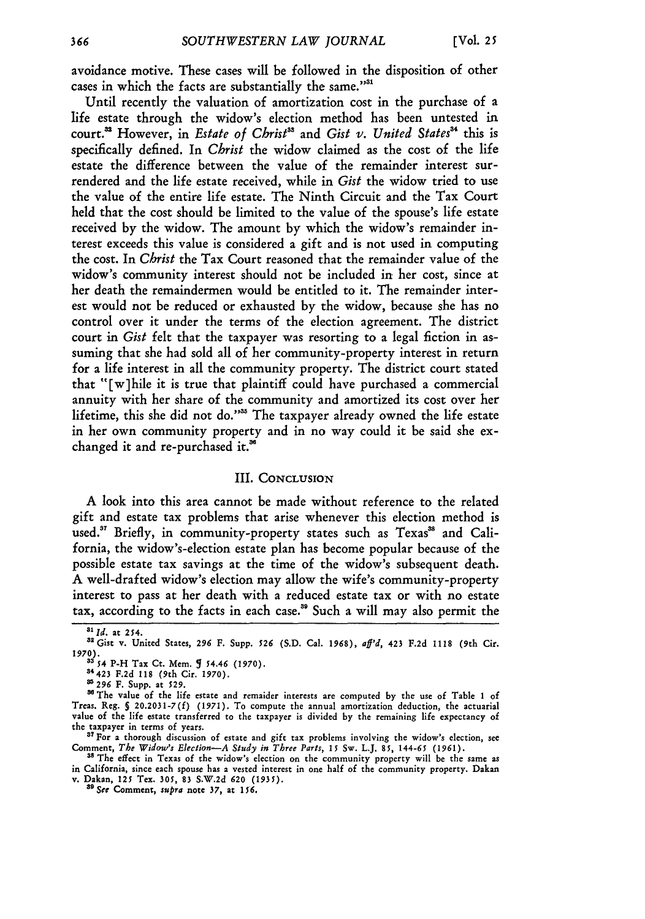avoidance motive. These cases will be followed in the disposition of other cases in which the facts are substantially the same."'

Until recently the valuation of amortization cost in the purchase of a life estate through the widow's election method has been untested in court.<sup>33</sup> However, in *Estate of Christ<sup>33</sup>* and *Gist v. United States*<sup>34</sup> this is specifically defined. In *Christ* the widow claimed as the cost of the life estate the difference between the value of the remainder interest surrendered and the life estate received, while in *Gist* the widow tried to use the value of the entire life estate. The Ninth Circuit and the Tax Court held that the cost should be limited to the value of the spouse's life estate received by the widow. The amount by which the widow's remainder interest exceeds this value is considered a gift and is not used in computing the cost. In *Christ* the Tax Court reasoned that the remainder value of the widow's community interest should not be included in her cost, since at her death the remaindermen would be entitled to it. The remainder interest would not be reduced or exhausted by the widow, because she has no control over it under the terms of the election agreement. The district court in *Gist* felt that the taxpayer was resorting to a legal fiction in assuming that she had sold all of her community-property interest in return for a life interest in all the community property. The district court stated that "[w]hile it is true that plaintiff could have purchased a commercial annuity with her share of the community and amortized its cost over her lifetime, this she did not do."<sup>38</sup> The taxpayer already owned the life estate in her own community property and in no way could it be said she exchanged it and re-purchased it.'

#### III. **CONCLUSION**

A look into this area cannot be made without reference to the related gift and estate tax problems that arise whenever this election method is used.<sup>37</sup> Briefly, in community-property states such as Texas<sup>38</sup> and California, the widow's-election estate plan has become popular because of the possible estate tax savings at the time of the widow's subsequent death. A well-drafted widow's election may allow the wife's community-property interest to pass at her death with a reduced estate tax or with no estate tax, according to the facts in each case.<sup>39</sup> Such a will may also permit the

*<sup>55</sup> Id.* at **254.** " Gist v. United States, **296** F. Supp. *526* **(S.D.** Cal. **1968),** *aff'd,* 423 **F.2d 1118** (9th **Cit. 1970). <sup>33</sup>***54* **P-H Tax Ct.** Mem. **1** *54.46* **(1970).**

<sup>34423</sup> **F.2d 118 (9th** Cir. **1970).**

**a296 F.** Supp. **at 529.**

The value **of the** life **estate** and remaider interests **are** computed **by the use** of Table **1** of **Treas.** Reg. *S* **20.2031-7(f) (1971).** To compute **the** annual amortization deduction, **the** actuarial value **of the life estate transferred to the** taxpayer is divided **by** the remaining life expectancy **of the** taxpayer in **terms** of **years.**

<sup>&</sup>lt;sup>37</sup> For a thorough discussion of estate and gift tax problems involving the widow's election, see Comment, The Widow's Election-A Study in Three Parts, 15 Sw. L.J. 85, 144-65 (1961).<br><sup>38</sup> The effect in Texas of the widow's election on the community property will be the same as

in California, since each spouse has **a** vested interest in **one** half of **the** community **property. Dakan** v. Dakan, **125** Tex. **305, 83 S.W.2d 620 (1935).**

<sup>&</sup>quot; *See* **Comment,** *supra* **note 37, at** *156.*